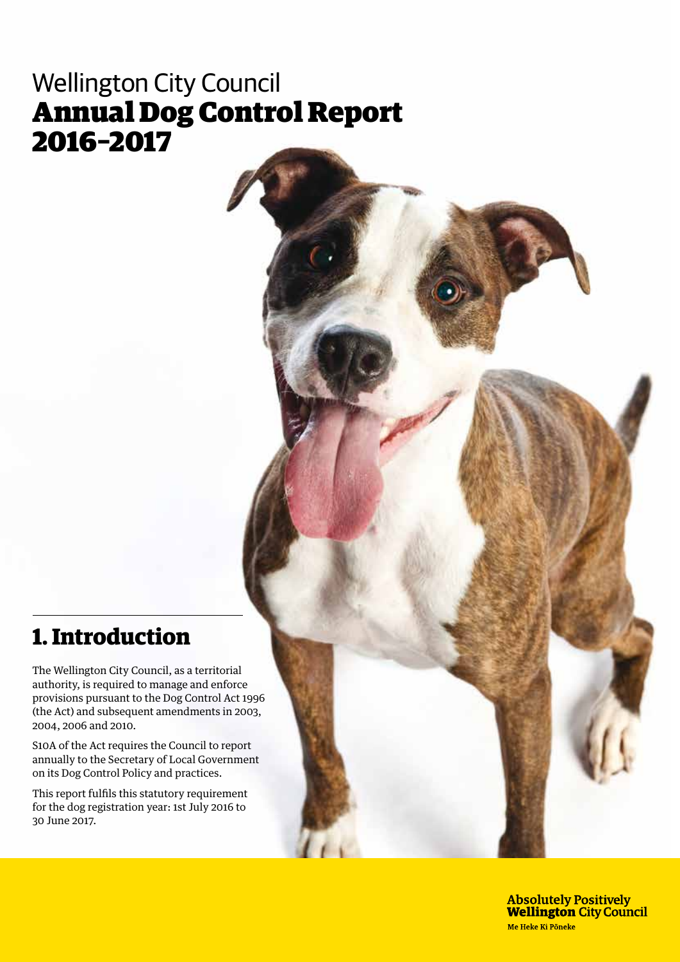# Wellington City Council Annual Dog Control Report 2016–2017

## **1. Introduction**

The Wellington City Council, as a territorial authority, is required to manage and enforce provisions pursuant to the Dog Control Act 1996 (the Act) and subsequent amendments in 2003, 2004, 2006 and 2010.

S10A of the Act requires the Council to report annually to the Secretary of Local Government on its Dog Control Policy and practices.

This report fulfils this statutory requirement for the dog registration year: 1st July 2016 to 30 June 2017.

> **Absolutely Positively Wellington City Council** Me Heke Ki Pôneke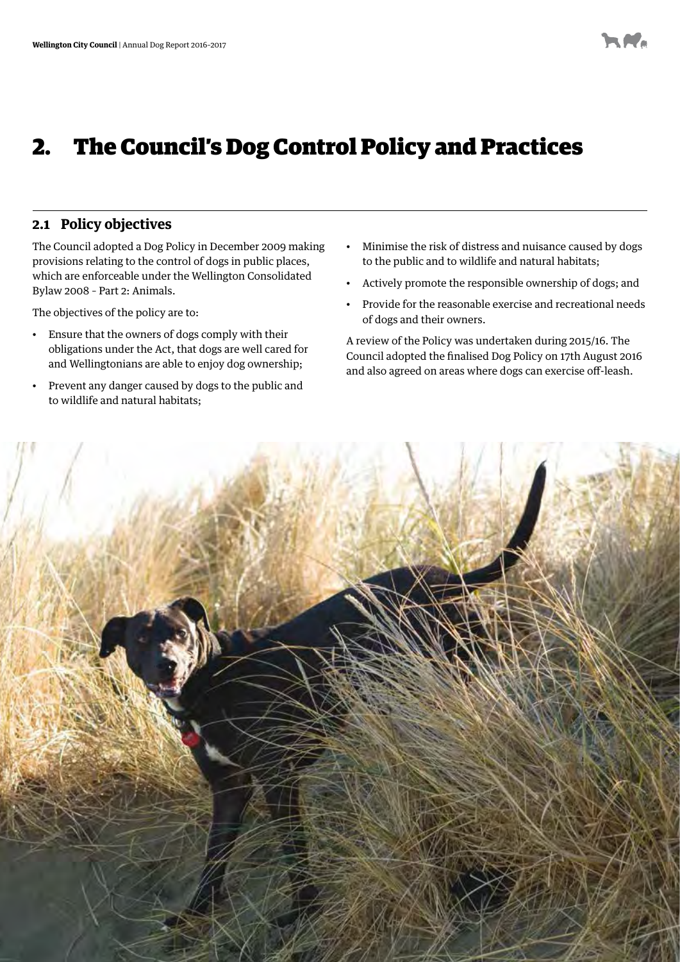# 2. The Council's Dog Control Policy and Practices

### **2.1 Policy objectives**

The Council adopted a Dog Policy in December 2009 making provisions relating to the control of dogs in public places, which are enforceable under the Wellington Consolidated Bylaw 2008 – Part 2: Animals.

The objectives of the policy are to:

- • Ensure that the owners of dogs comply with their obligations under the Act, that dogs are well cared for and Wellingtonians are able to enjoy dog ownership;
- • Prevent any danger caused by dogs to the public and to wildlife and natural habitats;
- • Minimise the risk of distress and nuisance caused by dogs to the public and to wildlife and natural habitats;
- • Actively promote the responsible ownership of dogs; and
- • Provide for the reasonable exercise and recreational needs of dogs and their owners.

A review of the Policy was undertaken during 2015/16. The Council adopted the finalised Dog Policy on 17th August 2016 and also agreed on areas where dogs can exercise off-leash.

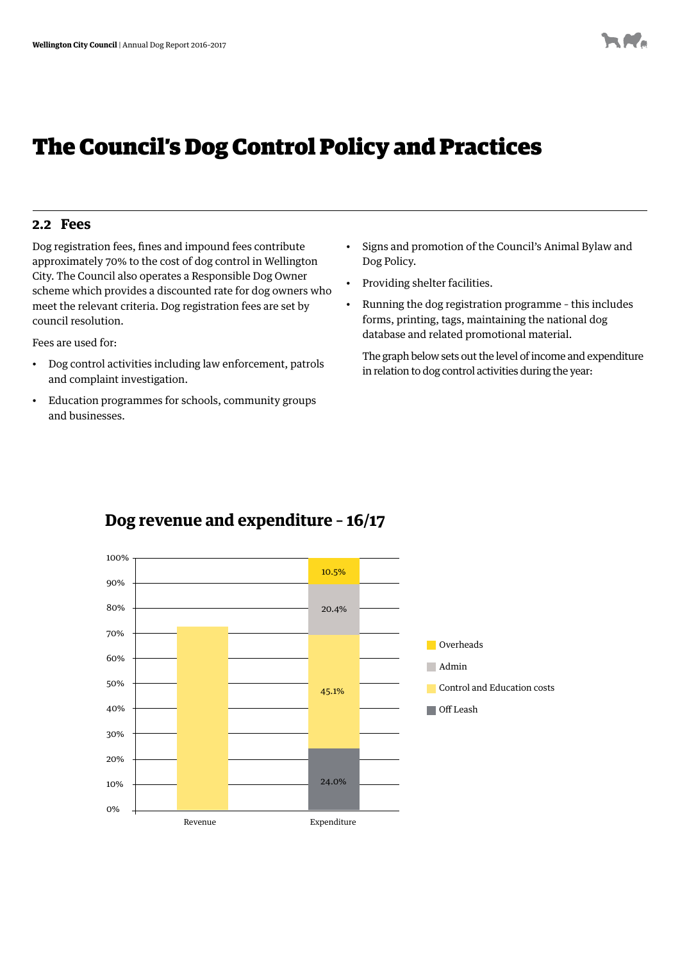## The Council's Dog Control Policy and Practices

### **2.2 Fees**

Dog registration fees, fines and impound fees contribute approximately 70% to the cost of dog control in Wellington City. The Council also operates a Responsible Dog Owner scheme which provides a discounted rate for dog owners who meet the relevant criteria. Dog registration fees are set by council resolution.

Fees are used for:

- • Dog control activities including law enforcement, patrols and complaint investigation.
- • Education programmes for schools, community groups and businesses.
- • Signs and promotion of the Council's Animal Bylaw and Dog Policy.
- Providing shelter facilities.
- • Running the dog registration programme this includes forms, printing, tags, maintaining the national dog database and related promotional material.

The graph below sets out the level of income and expenditure in relation to dog control activities during the year:



## **Dog revenue and expenditure – 16/17**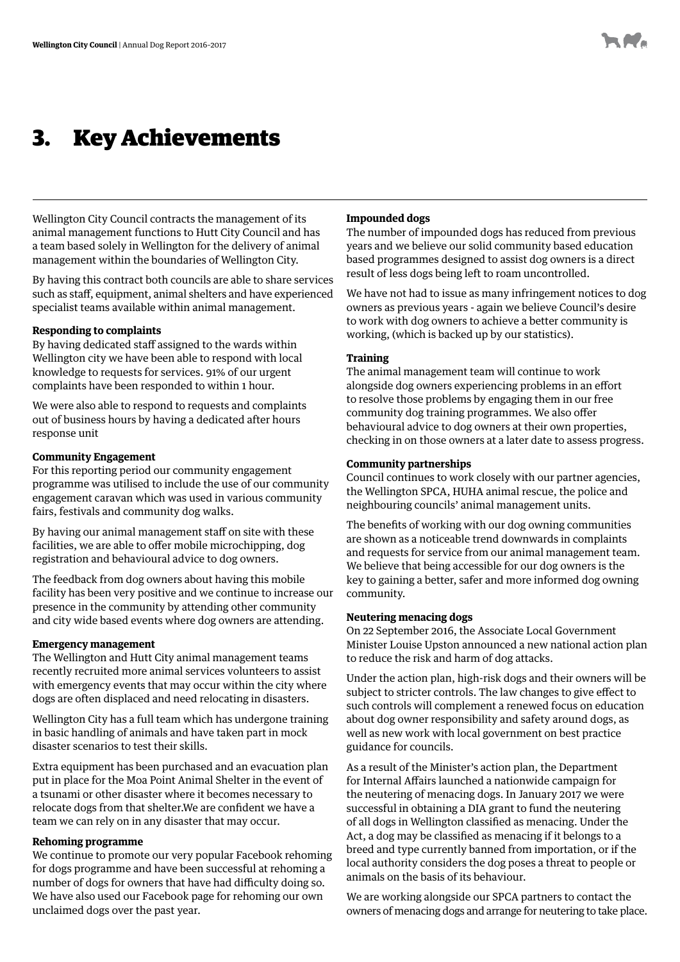## 3. Key Achievements

Wellington City Council contracts the management of its animal management functions to Hutt City Council and has a team based solely in Wellington for the delivery of animal management within the boundaries of Wellington City.

By having this contract both councils are able to share services such as staff, equipment, animal shelters and have experienced specialist teams available within animal management.

#### **Responding to complaints**

By having dedicated staff assigned to the wards within Wellington city we have been able to respond with local knowledge to requests for services. 91% of our urgent complaints have been responded to within 1 hour.

We were also able to respond to requests and complaints out of business hours by having a dedicated after hours response unit

#### **Community Engagement**

For this reporting period our community engagement programme was utilised to include the use of our community engagement caravan which was used in various community fairs, festivals and community dog walks.

By having our animal management staff on site with these facilities, we are able to offer mobile microchipping, dog registration and behavioural advice to dog owners.

The feedback from dog owners about having this mobile facility has been very positive and we continue to increase our presence in the community by attending other community and city wide based events where dog owners are attending.

#### **Emergency management**

The Wellington and Hutt City animal management teams recently recruited more animal services volunteers to assist with emergency events that may occur within the city where dogs are often displaced and need relocating in disasters.

Wellington City has a full team which has undergone training in basic handling of animals and have taken part in mock disaster scenarios to test their skills.

Extra equipment has been purchased and an evacuation plan put in place for the Moa Point Animal Shelter in the event of a tsunami or other disaster where it becomes necessary to relocate dogs from that shelter.We are confident we have a team we can rely on in any disaster that may occur.

#### **Rehoming programme**

We continue to promote our very popular Facebook rehoming for dogs programme and have been successful at rehoming a number of dogs for owners that have had difficulty doing so. We have also used our Facebook page for rehoming our own unclaimed dogs over the past year.

#### **Impounded dogs**

The number of impounded dogs has reduced from previous years and we believe our solid community based education based programmes designed to assist dog owners is a direct result of less dogs being left to roam uncontrolled.

We have not had to issue as many infringement notices to dog owners as previous years - again we believe Council's desire to work with dog owners to achieve a better community is working, (which is backed up by our statistics).

#### **Training**

The animal management team will continue to work alongside dog owners experiencing problems in an effort to resolve those problems by engaging them in our free community dog training programmes. We also offer behavioural advice to dog owners at their own properties, checking in on those owners at a later date to assess progress.

#### **Community partnerships**

Council continues to work closely with our partner agencies, the Wellington SPCA, HUHA animal rescue, the police and neighbouring councils' animal management units.

The benefits of working with our dog owning communities are shown as a noticeable trend downwards in complaints and requests for service from our animal management team. We believe that being accessible for our dog owners is the key to gaining a better, safer and more informed dog owning community.

#### **Neutering menacing dogs**

On 22 September 2016, the Associate Local Government Minister Louise Upston announced a new national action plan to reduce the risk and harm of dog attacks.

Under the action plan, high-risk dogs and their owners will be subject to stricter controls. The law changes to give effect to such controls will complement a renewed focus on education about dog owner responsibility and safety around dogs, as well as new work with local government on best practice guidance for councils.

As a result of the Minister's action plan, the Department for Internal Affairs launched a nationwide campaign for the neutering of menacing dogs. In January 2017 we were successful in obtaining a DIA grant to fund the neutering of all dogs in Wellington classified as menacing. Under the Act, a dog may be classified as menacing if it belongs to a breed and type currently banned from importation, or if the local authority considers the dog poses a threat to people or animals on the basis of its behaviour.

We are working alongside our SPCA partners to contact the owners of menacing dogs and arrange for neutering to take place.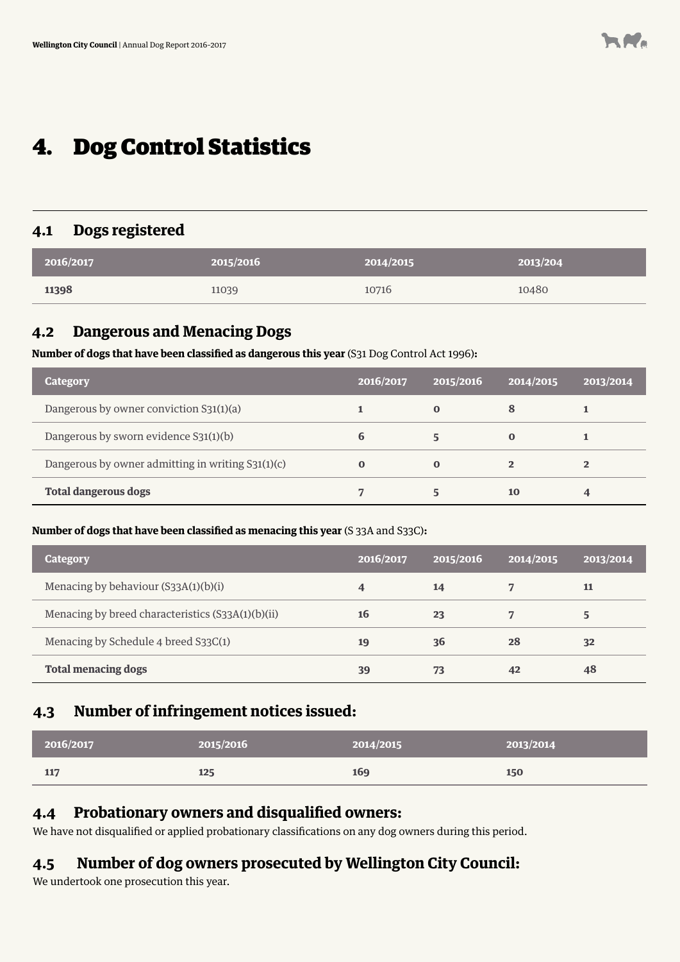# 4. Dog Control Statistics

### **4.1 Dogs registered**

| 2016/2017 | 2015/2016 | 2014/2015 | 2013/204 |
|-----------|-----------|-----------|----------|
| 11398     | 11039     | 10716     | 10480    |

#### **4.2 Dangerous and Menacing Dogs**

**Number of dogs that have been classified as dangerous this year** (S31 Dog Control Act 1996)**:** 

| Category                                          | 2016/2017 | 2015/2016   | 2014/2015      | 2013/2014      |
|---------------------------------------------------|-----------|-------------|----------------|----------------|
| Dangerous by owner conviction S31(1)(a)           |           | $\bf{0}$    | 8              |                |
| Dangerous by sworn evidence S31(1)(b)             | 6         |             | 0              |                |
| Dangerous by owner admitting in writing S31(1)(c) | $\bf{0}$  | $\mathbf 0$ | $\overline{2}$ | $\overline{2}$ |
| <b>Total dangerous dogs</b>                       |           |             | 10             | 4              |

### **Number of dogs that have been classified as menacing this year** (S 33A and S33C)**:**

| Category                                          | 2016/2017 | 2015/2016 | 2014/2015 | 2013/2014 |
|---------------------------------------------------|-----------|-----------|-----------|-----------|
| Menacing by behaviour $(S33A(1)(b)(i))$           | 4         | 14        |           | 11        |
| Menacing by breed characteristics (S33A(1)(b)(ii) | 16        | 23        |           | 5         |
| Menacing by Schedule 4 breed S33C(1)              | 19        | 36        | 28        | 32        |
| <b>Total menacing dogs</b>                        | 39        | 73        | 42        | 48        |

## **4.3 Number of infringement notices issued:**

| 2016/2017 | 2015/2016 | 2014/2015 | 2013/2014 |
|-----------|-----------|-----------|-----------|
| 117       | 125       | 169       | 150       |

### **4.4 Probationary owners and disqualified owners:**

We have not disqualified or applied probationary classifications on any dog owners during this period.

## **4.5 Number of dog owners prosecuted by Wellington City Council:**

We undertook one prosecution this year.